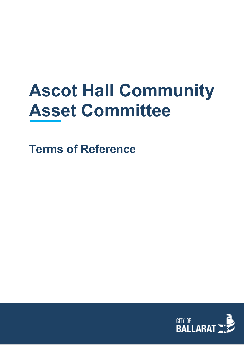# **Ascot Hall Community Asset Committee**

**Terms of Reference**

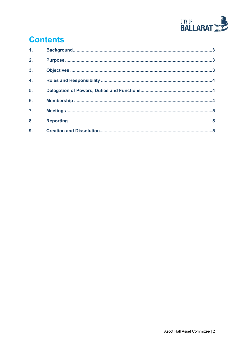

# **Contents**

| 1.               |  |
|------------------|--|
| 2.               |  |
| 3 <sub>1</sub>   |  |
| 4.               |  |
| 5.               |  |
| 6.               |  |
| $\overline{7}$ . |  |
| 8.               |  |
| 9.               |  |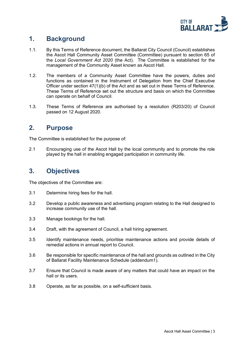

#### <span id="page-2-0"></span>**1. Background**

- 1.1. By this Terms of Reference document, the Ballarat City Council (Council) establishes the Ascot Hall Community Asset Committee (Committee) pursuant to section 65 of the *Local Government Act 2020* (the Act). The Committee is established for the management of the Community Asset known as Ascot Hall.
- 1.2. The members of a Community Asset Committee have the powers, duties and functions as contained in the Instrument of Delegation from the Chief Executive Officer under section 47(1)(b) of the Act and as set out in these Terms of Reference. These Terms of Reference set out the structure and basis on which the Committee can operate on behalf of Council.
- 1.3. These Terms of Reference are authorised by a resolution (R203/20) of Council passed on 12 August 2020.

#### <span id="page-2-1"></span>**2. Purpose**

The Committee is established for the purpose of:

2.1 Encouraging use of the Ascot Hall by the local community and to promote the role played by the hall in enabling engaged participation in community life.

# <span id="page-2-2"></span>**3. Objectives**

The objectives of the Committee are:

- 3.1 Determine hiring fees for the hall.
- 3.2 Develop a public awareness and advertising program relating to the Hall designed to increase community use of the hall.
- 3.3 Manage bookings for the hall.
- 3.4 Draft, with the agreement of Council, a hall hiring agreement.
- 3.5 Identify maintenance needs, prioritise maintenance actions and provide details of remedial actions in annual report to Council.
- 3.6 Be responsible for specific maintenance of the hall and grounds as outlined in the City of Ballarat Facility Maintenance Schedule (addendum1).
- 3.7 Ensure that Council is made aware of any matters that could have an impact on the hall or its users.
- 3.8 Operate, as far as possible, on a self-sufficient basis.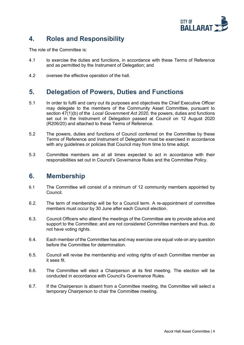

### <span id="page-3-0"></span>**4. Roles and Responsibility**

The role of the Committee is:

- 4.1 to exercise the duties and functions, in accordance with these Terms of Reference and as permitted by the Instrument of Delegation; and
- 4.2 oversee the effective operation of the hall.

#### <span id="page-3-1"></span>**5. Delegation of Powers, Duties and Functions**

- 5.1 In order to fulfil and carry out its purposes and objectives the Chief Executive Officer may delegate to the members of the Community Asset Committee, pursuant to section 47(1)(b) of the *Local Government Act 2020*, the powers, duties and functions set out in the Instrument of Delegation passed at Council on 12 August 2020 (R206/20) and attached to these Terms of Reference.
- 5.2 The powers, duties and functions of Council conferred on the Committee by these Terms of Reference and Instrument of Delegation must be exercised in accordance with any guidelines or policies that Council may from time to time adopt.
- 5.3 Committee members are at all times expected to act in accordance with their responsibilities set out in Council's Governance Rules and the Committee Policy.

#### <span id="page-3-2"></span>**6. Membership**

- 6.1 The Committee will consist of a minimum of 12 community members appointed by Council.
- 6.2. The term of membership will be for a Council term. A re-appointment of committee members must occur by 30 June after each Council election.
- 6.3. Council Officers who attend the meetings of the Committee are to provide advice and support to the Committee; and are not considered Committee members and thus, do not have voting rights.
- 6.4. Each member of the Committee has and may exercise one equal vote on any question before the Committee for determination.
- 6.5. Council will revise the membership and voting rights of each Committee member as it sees fit.
- 6.6. The Committee will elect a Chairperson at its first meeting. The election will be conducted in accordance with Council's Governance Rules.
- 6.7. If the Chairperson is absent from a Committee meeting, the Committee will select a temporary Chairperson to chair the Committee meeting.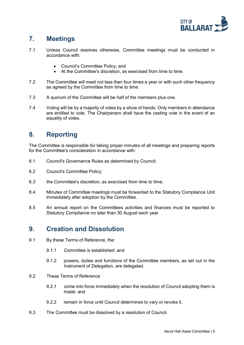

# <span id="page-4-0"></span>**7. Meetings**

- 7.1 Unless Council resolves otherwise, Committee meetings must be conducted in accordance with:
	- Council's Committee Policy; and
	- At the Committee's discretion, as exercised from time to time.
- 7.2 The Committee will meet not less than four times a year or with such other frequency as agreed by the Committee from time to time.
- 7.3 A quorum of the Committee will be half of the members plus one.
- 7.4 Voting will be by a majority of votes by a show of hands. Only members in attendance are entitled to vote. The Chairperson shall have the casting vote in the event of an equality of votes.

#### <span id="page-4-1"></span>**8. Reporting**

The Committee is responsible for taking proper minutes of all meetings and preparing reports for the Committee's consideration in accordance with:

- 8.1 Council's Governance Rules as determined by Council;
- 8.2 Council's Committee Policy;
- 8.3 the Committee's discretion, as exercised from time to time;
- 8.4 Minutes of Committee meetings must be forwarded to the Statutory Compliance Unit immediately after adoption by the Committee.
- 8.5 An annual report on the Committees activities and finances must be reported to Statutory Compliance no later than 30 August each year

#### <span id="page-4-2"></span>**9. Creation and Dissolution**

- 9.1 By these Terms of Reference, the:
	- 9.1.1 Committee is established; and
	- 9.1.2 powers, duties and functions of the Committee members, as set out in the Instrument of Delegation, are delegated.
- 9.2 These Terms of Reference
	- 9.2.1 come into force immediately when the resolution of Council adopting them is made; and
	- 9.2.2 remain in force until Council determines to vary or revoke it.
- 9.3 The Committee must be dissolved by a resolution of Council.